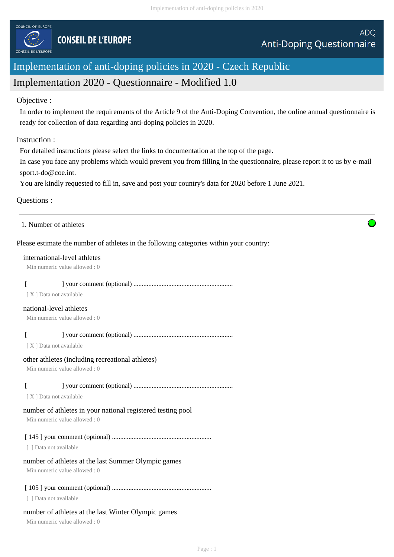

# Implementation of anti-doping policies in 2020 - Czech Republic

# Implementation 2020 - Questionnaire - Modified 1.0

# Objective :

In order to implement the requirements of the Article 9 of the Anti-Doping Convention, the online annual questionnaire is ready for collection of data regarding anti-doping policies in 2020.

# Instruction :

For detailed instructions please select the links to documentation at the top of the page.

In case you face any problems which would prevent you from filling in the questionnaire, please report it to us by e-mail sport.t-do@coe.int.

You are kindly requested to fill in, save and post your country's data for 2020 before 1 June 2021.

# Questions :

|  | 1. Number of athletes |
|--|-----------------------|
|--|-----------------------|

# Please estimate the number of athletes in the following categories within your country:

#### international-level athletes

Min numeric value allowed : 0

# [ ] your comment (optional) ............................................................

[ X ] Data not available

#### national-level athletes

Min numeric value allowed : 0

# [ ] your comment (optional) ............................................................

[ X ] Data not available

# other athletes (including recreational athletes)

Min numeric value allowed : 0

# [ ] your comment (optional) ............................................................

[X] Data not available

# number of athletes in your national registered testing pool

Min numeric value allowed : 0

# [ 145 ] your comment (optional) ............................................................

[ ] Data not available

# number of athletes at the last Summer Olympic games

Min numeric value allowed : 0

# [ 105 ] your comment (optional) ............................................................

[ ] Data not available

# number of athletes at the last Winter Olympic games

Min numeric value allowed : 0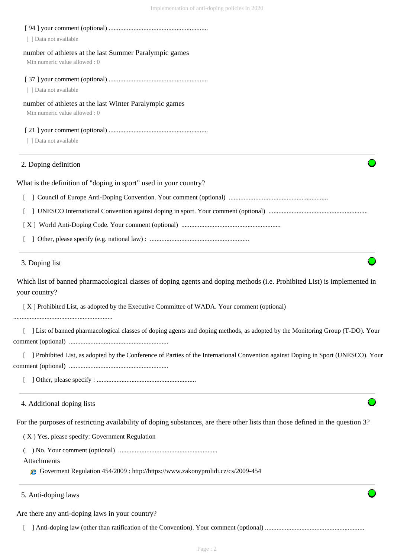| [ ] Data not available                                                                                                                     |
|--------------------------------------------------------------------------------------------------------------------------------------------|
| number of athletes at the last Summer Paralympic games<br>Min numeric value allowed: 0                                                     |
| [ ] Data not available                                                                                                                     |
| number of athletes at the last Winter Paralympic games<br>Min numeric value allowed: 0                                                     |
| [ ] Data not available                                                                                                                     |
| 2. Doping definition                                                                                                                       |
| What is the definition of "doping in sport" used in your country?                                                                          |
|                                                                                                                                            |
|                                                                                                                                            |
|                                                                                                                                            |
|                                                                                                                                            |
| 3. Doping list                                                                                                                             |
| Which list of banned pharmacological classes of doping agents and doping methods (i.e. Prohibited List) is implemented in<br>your country? |
| [X] Prohibited List, as adopted by the Executive Committee of WADA. Your comment (optional)                                                |
| List of banned pharmacological classes of doping agents and doping methods, as adopted by the Monitoring Group (T-DO). Your                |
| [ ] Prohibited List, as adopted by the Conference of Parties of the International Convention against Doping in Sport (UNESCO). Your        |
|                                                                                                                                            |
| 4. Additional doping lists                                                                                                                 |
| For the purposes of restricting availability of doping substances, are there other lists than those defined in the question 3?             |
| (X) Yes, please specify: Government Regulation                                                                                             |
|                                                                                                                                            |
| Attachments<br>Governent Regulation 454/2009 : http://https://www.zakonyprolidi.cz/cs/2009-454                                             |
| 5. Anti-doping laws                                                                                                                        |

Are there any anti-doping laws in your country?

[ ] Anti-doping law (other than ratification of the Convention). Your comment (optional) ............................................................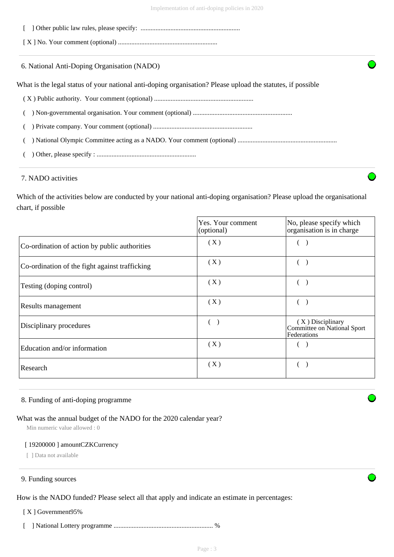[ ] Other public law rules, please specify: ............................................................

[ X ] No. Your comment (optional) ............................................................

6. National Anti-Doping Organisation (NADO)

What is the legal status of your national anti-doping organisation? Please upload the statutes, if possible

- ( X ) Public authority. Your comment (optional) ............................................................
- ( ) Non-governmental organisation. Your comment (optional) ............................................................
- ( ) Private company. Your comment (optional) ............................................................

( ) National Olympic Committee acting as a NADO. Your comment (optional) ............................................................

( ) Other, please specify : ............................................................

# 7. NADO activities

Which of the activities below are conducted by your national anti-doping organisation? Please upload the organisational chart, if possible

|                                                | Yes. Your comment<br>(optional) | No, please specify which<br>organisation is in charge            |
|------------------------------------------------|---------------------------------|------------------------------------------------------------------|
| Co-ordination of action by public authorities  | (X)                             |                                                                  |
| Co-ordination of the fight against trafficking | (X)                             |                                                                  |
| Testing (doping control)                       | (X)                             |                                                                  |
| Results management                             | (X)                             |                                                                  |
| Disciplinary procedures                        |                                 | $(X)$ Disciplinary<br>Committee on National Sport<br>Federations |
| Education and/or information                   | (X)                             |                                                                  |
| Research                                       | (X)                             |                                                                  |

#### 8. Funding of anti-doping programme

#### What was the annual budget of the NADO for the 2020 calendar year?

Min numeric value allowed : 0

#### [ 19200000 ] amountCZKCurrency

[ ] Data not available

#### 9. Funding sources

How is the NADO funded? Please select all that apply and indicate an estimate in percentages:

[ X ] Government95%

[ ] National Lottery programme ............................................................ %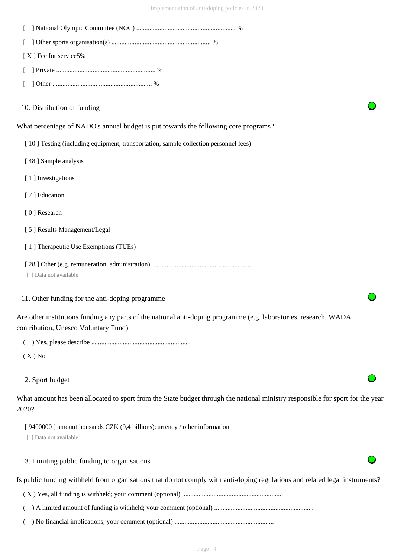| [X] Fee for service5%                                                                                                                                     |
|-----------------------------------------------------------------------------------------------------------------------------------------------------------|
|                                                                                                                                                           |
|                                                                                                                                                           |
| 10. Distribution of funding                                                                                                                               |
| What percentage of NADO's annual budget is put towards the following core programs?                                                                       |
| [10] Testing (including equipment, transportation, sample collection personnel fees)                                                                      |
| [48] Sample analysis                                                                                                                                      |
| [1] Investigations                                                                                                                                        |
| [7] Education                                                                                                                                             |
| [0] Research                                                                                                                                              |
| [5] Results Management/Legal                                                                                                                              |
| [1] Therapeutic Use Exemptions (TUEs)                                                                                                                     |
| [ ] Data not available                                                                                                                                    |
| 11. Other funding for the anti-doping programme                                                                                                           |
| Are other institutions funding any parts of the national anti-doping programme (e.g. laboratories, research, WADA<br>contribution, Unesco Voluntary Fund) |
|                                                                                                                                                           |
| $(X)$ No                                                                                                                                                  |
| 12. Sport budget                                                                                                                                          |
| What amount has been allocated to sport from the State budget through the national ministry responsible for sport for the year<br>2020?                   |
| [9400000] amount thousands CZK (9,4 billions) currency / other information<br>[ ] Data not available                                                      |
| 13. Limiting public funding to organisations                                                                                                              |
| Is public funding withheld from organisations that do not comply with anti-doping regulations and related legal instruments?                              |
|                                                                                                                                                           |
|                                                                                                                                                           |
|                                                                                                                                                           |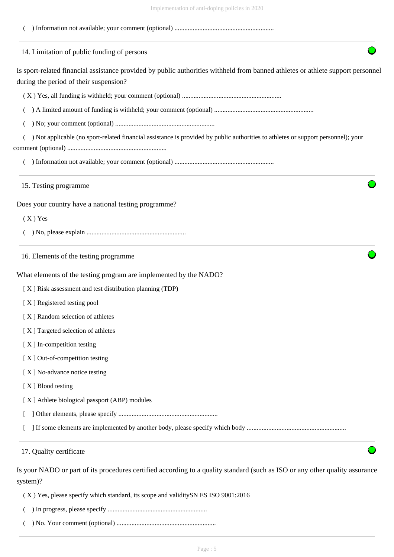| Imprementation of anti-doping poncies in 2020                                                                                                                             |
|---------------------------------------------------------------------------------------------------------------------------------------------------------------------------|
|                                                                                                                                                                           |
| 14. Limitation of public funding of persons                                                                                                                               |
| Is sport-related financial assistance provided by public authorities withheld from banned athletes or athlete support personnel<br>during the period of their suspension? |
|                                                                                                                                                                           |
|                                                                                                                                                                           |
|                                                                                                                                                                           |
| ) Not applicable (no sport-related financial assistance is provided by public authorities to athletes or support personnel); your                                         |
|                                                                                                                                                                           |
| 15. Testing programme                                                                                                                                                     |
| Does your country have a national testing programme?                                                                                                                      |
| $(X)$ Yes                                                                                                                                                                 |
|                                                                                                                                                                           |
| 16. Elements of the testing programme                                                                                                                                     |
| What elements of the testing program are implemented by the NADO?                                                                                                         |
| [X] Risk assessment and test distribution planning (TDP)                                                                                                                  |
| [X] Registered testing pool                                                                                                                                               |
| [X] Random selection of athletes                                                                                                                                          |
| [X] Targeted selection of athletes                                                                                                                                        |
| [X] In-competition testing                                                                                                                                                |
| [X] Out-of-competition testing                                                                                                                                            |
| [X] No-advance notice testing                                                                                                                                             |
| [X] Blood testing                                                                                                                                                         |
| [X] Athlete biological passport (ABP) modules                                                                                                                             |
|                                                                                                                                                                           |
|                                                                                                                                                                           |
| 17. Quality certificate                                                                                                                                                   |
| Is your NADO or part of its procedures certified according to a quality standard (such as ISO or any other quality assurance<br>system)?                                  |

( X ) Yes, please specify which standard, its scope and validitySN ES ISO 9001:2016

- ( ) In progress, please specify ............................................................
- ( ) No. Your comment (optional) ............................................................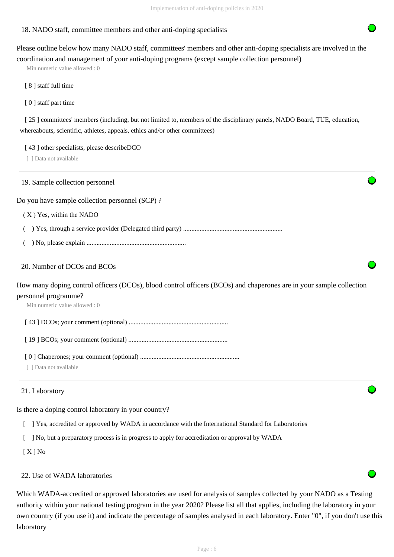# 18. NADO staff, committee members and other anti-doping specialists

Please outline below how many NADO staff, committees' members and other anti-doping specialists are involved in the coordination and management of your anti-doping programs (except sample collection personnel)

Min numeric value allowed : 0

[ 8 ] staff full time

[ 0 ] staff part time

[ 25 ] committees' members (including, but not limited to, members of the disciplinary panels, NADO Board, TUE, education, whereabouts, scientific, athletes, appeals, ethics and/or other committees)

[43] other specialists, please describeDCO

[ ] Data not available

19. Sample collection personnel

Do you have sample collection personnel (SCP) ?

( X ) Yes, within the NADO

( ) Yes, through a service provider (Delegated third party) ............................................................

( ) No, please explain ............................................................

# 20. Number of DCOs and BCOs

How many doping control officers (DCOs), blood control officers (BCOs) and chaperones are in your sample collection personnel programme?

Min numeric value allowed : 0

[ 43 ] DCOs; your comment (optional) ............................................................

[ 19 ] BCOs; your comment (optional) ............................................................

[ 0 ] Chaperones; your comment (optional) ............................................................

[ ] Data not available

#### 21. Laboratory

Is there a doping control laboratory in your country?

- [ ] Yes, accredited or approved by WADA in accordance with the International Standard for Laboratories
- [ ] No, but a preparatory process is in progress to apply for accreditation or approval by WADA

[ X ] No

### 22. Use of WADA laboratories

Which WADA-accredited or approved laboratories are used for analysis of samples collected by your NADO as a Testing authority within your national testing program in the year 2020? Please list all that applies, including the laboratory in your own country (if you use it) and indicate the percentage of samples analysed in each laboratory. Enter "0", if you don't use this laboratory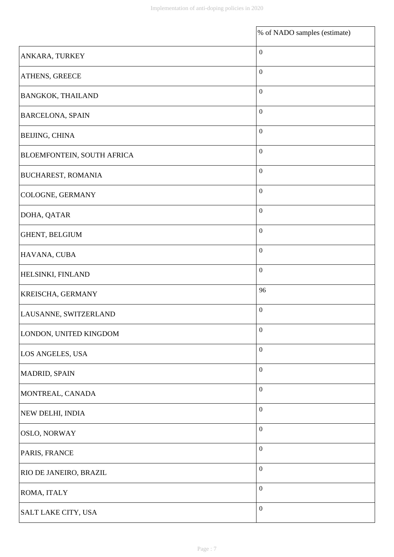|                            | % of NADO samples (estimate) |
|----------------------------|------------------------------|
| ANKARA, TURKEY             | $\boldsymbol{0}$             |
| ATHENS, GREECE             | $\boldsymbol{0}$             |
| <b>BANGKOK, THAILAND</b>   | $\boldsymbol{0}$             |
| <b>BARCELONA, SPAIN</b>    | $\boldsymbol{0}$             |
| <b>BEIJING, CHINA</b>      | $\boldsymbol{0}$             |
| BLOEMFONTEIN, SOUTH AFRICA | $\boldsymbol{0}$             |
| <b>BUCHAREST, ROMANIA</b>  | $\boldsymbol{0}$             |
| COLOGNE, GERMANY           | $\boldsymbol{0}$             |
| DOHA, QATAR                | $\boldsymbol{0}$             |
| GHENT, BELGIUM             | $\boldsymbol{0}$             |
| HAVANA, CUBA               | $\boldsymbol{0}$             |
| HELSINKI, FINLAND          | $\boldsymbol{0}$             |
| KREISCHA, GERMANY          | 96                           |
| LAUSANNE, SWITZERLAND      | $\boldsymbol{0}$             |
| LONDON, UNITED KINGDOM     | $\boldsymbol{0}$             |
| LOS ANGELES, USA           | $\boldsymbol{0}$             |
| MADRID, SPAIN              | $\boldsymbol{0}$             |
| MONTREAL, CANADA           | $\boldsymbol{0}$             |
| NEW DELHI, INDIA           | $\boldsymbol{0}$             |
| <b>OSLO, NORWAY</b>        | $\boldsymbol{0}$             |
| PARIS, FRANCE              | $\boldsymbol{0}$             |
| RIO DE JANEIRO, BRAZIL     | $\boldsymbol{0}$             |
| ROMA, ITALY                | $\boldsymbol{0}$             |
| <b>SALT LAKE CITY, USA</b> | $\boldsymbol{0}$             |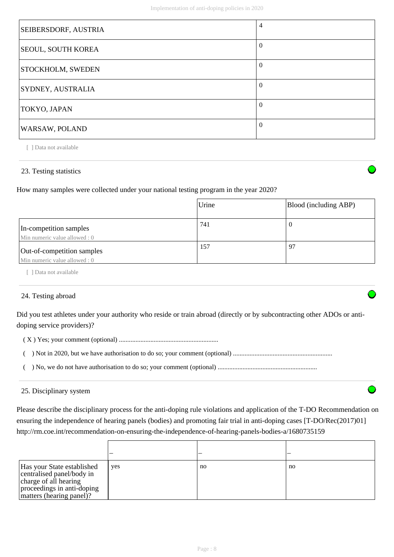| SEIBERSDORF, AUSTRIA      | $\overline{4}$ |
|---------------------------|----------------|
| <b>SEOUL, SOUTH KOREA</b> | $\theta$       |
| <b>STOCKHOLM, SWEDEN</b>  | $\overline{0}$ |
| SYDNEY, AUSTRALIA         | $\theta$       |
| TOKYO, JAPAN              | $\theta$       |
| WARSAW, POLAND            | $\Omega$       |

# 23. Testing statistics

How many samples were collected under your national testing program in the year 2020?

|                                                            | Urine | Blood (including ABP) |
|------------------------------------------------------------|-------|-----------------------|
| In-competition samples<br>Min numeric value allowed: 0     | 741   | v                     |
| Out-of-competition samples<br>Min numeric value allowed: 0 | 157   | 97                    |

[ ] Data not available

# 24. Testing abroad

Did you test athletes under your authority who reside or train abroad (directly or by subcontracting other ADOs or antidoping service providers)?

( X ) Yes; your comment (optional) ............................................................

- ( ) Not in 2020, but we have authorisation to do so; your comment (optional) ............................................................
- ( ) No, we do not have authorisation to do so; your comment (optional) ............................................................

#### 25. Disciplinary system

Please describe the disciplinary process for the anti-doping rule violations and application of the T-DO Recommendation on ensuring the independence of hearing panels (bodies) and promoting fair trial in anti-doping cases [T-DO/Rec(2017)01] http://rm.coe.int/recommendation-on-ensuring-the-independence-of-hearing-panels-bodies-a/1680735159

| Has your State established<br>centralised panel/body in<br>charge of all hearing<br>proceedings in anti-doping<br>matters (hearing panel)? | yes | no | no |
|--------------------------------------------------------------------------------------------------------------------------------------------|-----|----|----|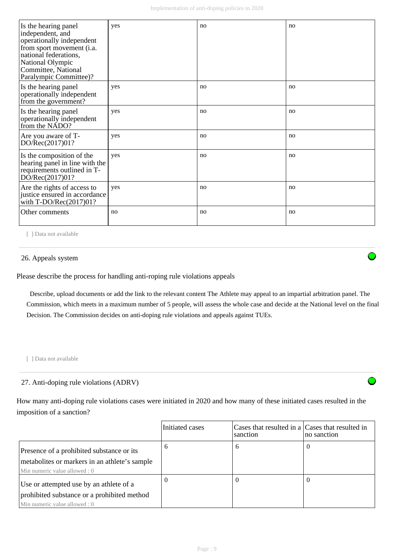| Is the hearing panel<br>independent, and<br>operationally independent<br>from sport movement (i.a.<br>national federations,<br>National Olympic<br>Committee, National<br>Paralympic Committee)? | yes | no | no |
|--------------------------------------------------------------------------------------------------------------------------------------------------------------------------------------------------|-----|----|----|
| Is the hearing panel<br>operationally independent<br>from the government?                                                                                                                        | yes | no | no |
| Is the hearing panel<br>operationally independent<br>from the NADO?                                                                                                                              | yes | no | no |
| Are you aware of T-<br>DO/Rec(2017)01?                                                                                                                                                           | yes | no | no |
| Is the composition of the<br>hearing panel in line with the<br>requirements outlined in T-<br>DO/Rec(2017)01?                                                                                    | yes | no | no |
| Are the rights of access to<br>justice ensured in accordance<br>with $T\text{-DO/Rec}(2017)01?$                                                                                                  | yes | no | no |
| Other comments                                                                                                                                                                                   | no  | no | no |

#### 26. Appeals system

Please describe the process for handling anti-roping rule violations appeals

 Describe, upload documents or add the link to the relevant content The Athlete may appeal to an impartial arbitration panel. The Commission, which meets in a maximum number of 5 people, will assess the whole case and decide at the National level on the final Decision. The Commission decides on anti-doping rule violations and appeals against TUEs.

[ ] Data not available

# 27. Anti-doping rule violations (ADRV)

How many anti-doping rule violations cases were initiated in 2020 and how many of these initiated cases resulted in the imposition of a sanction?

|                                                                                                                             | Initiated cases | Cases that resulted in a Cases that resulted in<br>sanction | no sanction |
|-----------------------------------------------------------------------------------------------------------------------------|-----------------|-------------------------------------------------------------|-------------|
| Presence of a prohibited substance or its<br>metabolites or markers in an athlete's sample<br>Min numeric value allowed : 0 | o               | 6                                                           | U           |
| Use or attempted use by an athlete of a<br>prohibited substance or a prohibited method<br>Min numeric value allowed : 0     | O               | $\Omega$                                                    | U           |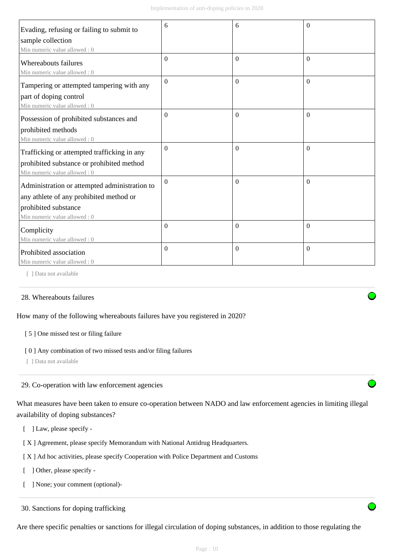| Evading, refusing or failing to submit to            | 6              | 6            | $\theta$ |
|------------------------------------------------------|----------------|--------------|----------|
| sample collection                                    |                |              |          |
| Min numeric value allowed: 0                         |                |              |          |
| Whereabouts failures<br>Min numeric value allowed: 0 | $\Omega$       | $\Omega$     | $\Omega$ |
| Tampering or attempted tampering with any            | $\Omega$       | $\Omega$     | $\Omega$ |
| part of doping control                               |                |              |          |
| Min numeric value allowed: 0                         |                |              |          |
| Possession of prohibited substances and              | $\Omega$       | $\Omega$     | $\Omega$ |
| prohibited methods                                   |                |              |          |
| Min numeric value allowed: 0                         |                |              |          |
| Trafficking or attempted trafficking in any          | $\mathbf{0}$   | $\mathbf{0}$ | $\theta$ |
| prohibited substance or prohibited method            |                |              |          |
| Min numeric value allowed: 0                         |                |              |          |
| Administration or attempted administration to        | $\overline{0}$ | $\Omega$     | $\Omega$ |
| any athlete of any prohibited method or              |                |              |          |
| prohibited substance                                 |                |              |          |
| Min numeric value allowed : 0                        |                |              |          |
| Complicity                                           | $\Omega$       | $\Omega$     | $\theta$ |
| Min numeric value allowed: 0                         |                |              |          |
| Prohibited association                               | $\overline{0}$ | $\Omega$     | $\theta$ |
| Min numeric value allowed: 0                         |                |              |          |

# 28. Whereabouts failures

How many of the following whereabouts failures have you registered in 2020?

#### [ 5 ] One missed test or filing failure

#### [0] Any combination of two missed tests and/or filing failures

[ ] Data not available

#### 29. Co-operation with law enforcement agencies

What measures have been taken to ensure co-operation between NADO and law enforcement agencies in limiting illegal availability of doping substances?

- [ ] Law, please specify -
- [ X ] Agreement, please specify Memorandum with National Antidrug Headquarters.
- [ X ] Ad hoc activities, please specify Cooperation with Police Department and Customs
- [ ] Other, please specify -
- [ ] None; your comment (optional)-

30. Sanctions for doping trafficking

Are there specific penalties or sanctions for illegal circulation of doping substances, in addition to those regulating the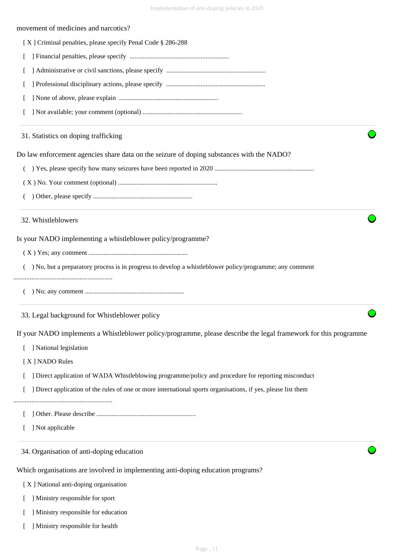#### movement of medicines and narcotics?

| [X] Criminal penalties, please specify Penal Code § 286-288 |  |  |  |  |
|-------------------------------------------------------------|--|--|--|--|
|                                                             |  |  |  |  |

- [ ] Financial penalties, please specify ............................................................
- [ ] Administrative or civil sanctions, please specify ............................................................
- [ ] Professional disciplinary actions, please specify ............................................................
- [ ] None of above, please explain ............................................................
- [ ] Not available; your comment (optional) ............................................................

#### 31. Statistics on doping trafficking

Do law enforcement agencies share data on the seizure of doping substances with the NADO?

- ( ) Yes, please specify how many seizures have been reported in 2020 ............................................................
- ( X ) No. Your comment (optional) ............................................................
- ( ) Other, please specify ............................................................

#### 32. Whistleblowers

Is your NADO implementing a whistleblower policy/programme?

- ( X ) Yes; any comment ............................................................
- ( ) No, but a preparatory process is in progress to develop a whistleblower policy/programme; any comment

#### ............................................................

( ) No; any comment ............................................................

33. Legal background for Whistleblower policy

If your NADO implements a Whistleblower policy/programme, please describe the legal framework for this programme

- [ ] National legislation
- [ X ] NADO Rules
- [ ] Direct application of WADA Whistleblowing programme/policy and procedure for reporting misconduct
- [ ] Direct application of the rules of one or more international sports organisations, if yes, please list them
- ............................................................
	- [ ] Other. Please describe ............................................................
	- [ ] Not applicable

34. Organisation of anti-doping education

Which organisations are involved in implementing anti-doping education programs?

- [ X ] National anti-doping organisation
- [ ] Ministry responsible for sport
- [ ] Ministry responsible for education
- [ ] Ministry responsible for health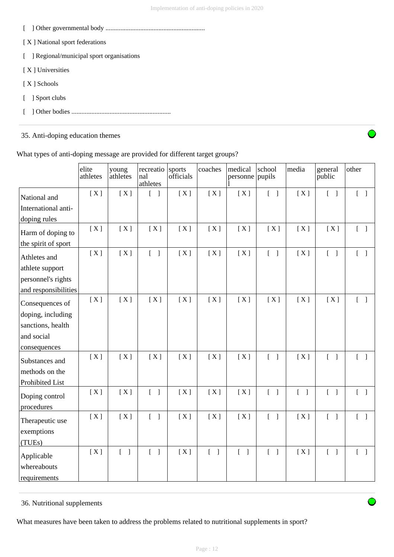- [ ] Other governmental body ............................................................
- [ X ] National sport federations
- [ ] Regional/municipal sport organisations
- [ X ] Universities
- [ X ] Schools
- [ ] Sport clubs
- [ ] Other bodies ............................................................

# 35. Anti-doping education themes



What types of anti-doping message are provided for different target groups?

|                                           | elite<br>athletes | young<br>athletes | recreatio<br>nal<br>athletes      | sports<br>officials | coaches                           | medical<br>personne pupils        | school                            | media                             | general<br>public                 | other                             |
|-------------------------------------------|-------------------|-------------------|-----------------------------------|---------------------|-----------------------------------|-----------------------------------|-----------------------------------|-----------------------------------|-----------------------------------|-----------------------------------|
| National and<br>International anti-       | [X]               | [X]               | $\begin{bmatrix} 1 \end{bmatrix}$ | [X]                 | [X]                               | [X]                               | $\begin{bmatrix} 1 \end{bmatrix}$ | [X]                               | $\begin{bmatrix} 1 \end{bmatrix}$ | $[\ ]$                            |
| doping rules                              |                   |                   |                                   |                     |                                   |                                   |                                   |                                   |                                   |                                   |
| Harm of doping to                         | [X]               | [X]               | [X]                               | [X]                 | [X]                               | [X]                               | [X]                               | [X]                               | [X]                               | $\begin{bmatrix} 1 \end{bmatrix}$ |
| the spirit of sport                       |                   |                   |                                   |                     |                                   |                                   |                                   |                                   |                                   |                                   |
| Athletes and                              | [X]               | [X]               | $\begin{bmatrix} 1 \end{bmatrix}$ | [X]                 | [X]                               | [X]                               | $\begin{bmatrix} 1 \end{bmatrix}$ | [X]                               | $\begin{bmatrix} 1 \end{bmatrix}$ | $\begin{bmatrix} 1 \end{bmatrix}$ |
| athlete support                           |                   |                   |                                   |                     |                                   |                                   |                                   |                                   |                                   |                                   |
| personnel's rights                        |                   |                   |                                   |                     |                                   |                                   |                                   |                                   |                                   |                                   |
| and responsibilities                      |                   |                   |                                   |                     |                                   |                                   |                                   |                                   |                                   |                                   |
| Consequences of                           | [X]               | [X]               | [X]                               | [X]                 | [X]                               | [X]                               | [X]                               | [X]                               | [X]                               |                                   |
| doping, including                         |                   |                   |                                   |                     |                                   |                                   |                                   |                                   |                                   |                                   |
| sanctions, health                         |                   |                   |                                   |                     |                                   |                                   |                                   |                                   |                                   |                                   |
| and social                                |                   |                   |                                   |                     |                                   |                                   |                                   |                                   |                                   |                                   |
| consequences                              |                   |                   |                                   |                     |                                   |                                   |                                   |                                   |                                   |                                   |
| Substances and                            | [X]               | [X]               | [X]                               | [X]                 | [X]                               | [X]                               | $[$ $]$                           | [X]                               | $\begin{bmatrix} 1 \end{bmatrix}$ | $\begin{bmatrix} 1 \end{bmatrix}$ |
| methods on the                            |                   |                   |                                   |                     |                                   |                                   |                                   |                                   |                                   |                                   |
| Prohibited List                           |                   |                   |                                   |                     |                                   |                                   |                                   |                                   |                                   |                                   |
| Doping control<br>procedures              | [X]               | [X]               | $\begin{bmatrix} 1 \end{bmatrix}$ | [X]                 | [X]                               | [X]                               | $\begin{bmatrix} 1 \end{bmatrix}$ | $\begin{bmatrix} 1 \end{bmatrix}$ | $\begin{bmatrix} 1 \end{bmatrix}$ | $\begin{bmatrix} 1 \end{bmatrix}$ |
| Therapeutic use                           | [X]               | [X]               | $\begin{bmatrix} 1 \end{bmatrix}$ | [X]                 | [X]                               | [X]                               | $\begin{bmatrix} 1 \end{bmatrix}$ | [X]                               | $\begin{bmatrix} 1 \end{bmatrix}$ | $\begin{bmatrix} 1 \end{bmatrix}$ |
| exemptions<br>(TUEs)                      |                   |                   |                                   |                     |                                   |                                   |                                   |                                   |                                   |                                   |
| Applicable<br>whereabouts<br>requirements | [X]               | $[\ ]$            | $\overline{a}$<br>$\overline{1}$  | [X]                 | $\begin{bmatrix} 1 \end{bmatrix}$ | $\begin{bmatrix} 1 \end{bmatrix}$ | $\begin{bmatrix} 1 \end{bmatrix}$ | [X]                               | $\begin{bmatrix} 1 \end{bmatrix}$ | $\begin{bmatrix} 1 \end{bmatrix}$ |

# 36. Nutritional supplements

What measures have been taken to address the problems related to nutritional supplements in sport?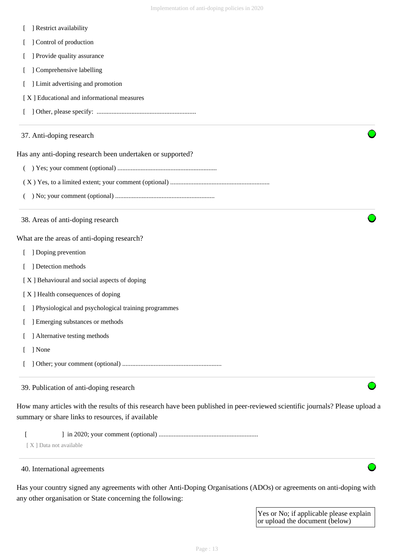- [ ] Restrict availability
- [ ] Control of production
- [ ] Provide quality assurance
- [ ] Comprehensive labelling
- [ ] Limit advertising and promotion
- [ X ] Educational and informational measures
- [ ] Other, please specify: ............................................................

#### 37. Anti-doping research

Has any anti-doping research been undertaken or supported?

- ( ) Yes; your comment (optional) ............................................................
- ( X ) Yes, to a limited extent; your comment (optional) ............................................................
- ( ) No; your comment (optional) ............................................................
- 38. Areas of anti-doping research

What are the areas of anti-doping research?

- [ ] Doping prevention
- [ ] Detection methods

[ X ] Behavioural and social aspects of doping

- [ X ] Health consequences of doping
- [ ] Physiological and psychological training programmes
- [ ] Emerging substances or methods
- [ ] Alternative testing methods
- [ ] None
- [ ] Other; your comment (optional) ............................................................

# 39. Publication of anti-doping research

How many articles with the results of this research have been published in peer-reviewed scientific journals? Please upload a summary or share links to resources, if available

[ ] in 2020; your comment (optional) ............................................................

[X] Data not available

#### 40. International agreements

Has your country signed any agreements with other Anti-Doping Organisations (ADOs) or agreements on anti-doping with any other organisation or State concerning the following:

> Yes or No; if applicable please explain or upload the document (below)